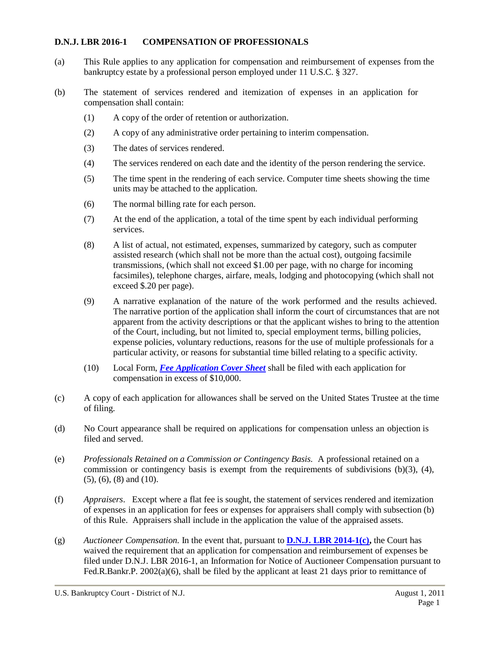### **D.N.J. LBR 2016-1 COMPENSATION OF PROFESSIONALS**

- (a) This Rule applies to any application for compensation and reimbursement of expenses from the bankruptcy estate by a professional person employed under 11 U.S.C. § 327.
- (b) The statement of services rendered and itemization of expenses in an application for compensation shall contain:
	- (1) A copy of the order of retention or authorization.
	- (2) A copy of any administrative order pertaining to interim compensation.
	- (3) The dates of services rendered.
	- (4) The services rendered on each date and the identity of the person rendering the service.
	- (5) The time spent in the rendering of each service. Computer time sheets showing the time units may be attached to the application.
	- (6) The normal billing rate for each person.
	- (7) At the end of the application, a total of the time spent by each individual performing services.
	- (8) A list of actual, not estimated, expenses, summarized by category, such as computer assisted research (which shall not be more than the actual cost), outgoing facsimile transmissions, (which shall not exceed \$1.00 per page, with no charge for incoming facsimiles), telephone charges, airfare, meals, lodging and photocopying (which shall not exceed \$.20 per page).
	- (9) A narrative explanation of the nature of the work performed and the results achieved. The narrative portion of the application shall inform the court of circumstances that are not apparent from the activity descriptions or that the applicant wishes to bring to the attention of the Court, including, but not limited to, special employment terms, billing policies, expense policies, voluntary reductions, reasons for the use of multiple professionals for a particular activity, or reasons for substantial time billed relating to a specific activity.
	- (10) Local Form, *Fee [Application](http://www.njb.uscourts.gov/sites/default/files/forms/FORM3_tmp_0.pdf) Cover Sheet* shall be filed with each application for compensation in excess of \$10,000.
- (c) A copy of each application for allowances shall be served on the United States Trustee at the time of filing.
- (d) No Court appearance shall be required on applications for compensation unless an objection is filed and served.
- (e) *Professionals Retained on a Commission or Contingency Basis.* A professional retained on a commission or contingency basis is exempt from the requirements of subdivisions (b)(3), (4), (5), (6), (8) and (10).
- (f) *Appraisers*. Except where a flat fee is sought, the statement of services rendered and itemization of expenses in an application for fees or expenses for appraisers shall comply with subsection (b) of this Rule. Appraisers shall include in the application the value of the appraised assets.
- (g) *Auctioneer Compensation.* In the event that, pursuant to **D.N.J. LBR [2014-1\(c\),](http://www.njb.uscourts.gov/sites/default/files/local_rules/D.N.J._LBR_2014-1__Employment_of_Professionals.pdf)** the Court has waived the requirement that an application for compensation and reimbursement of expenses be filed under D.N.J. LBR 2016-1, an Information for Notice of Auctioneer Compensation pursuant to Fed.R.Bankr.P. 2002(a)(6), shall be filed by the applicant at least 21 days prior to remittance of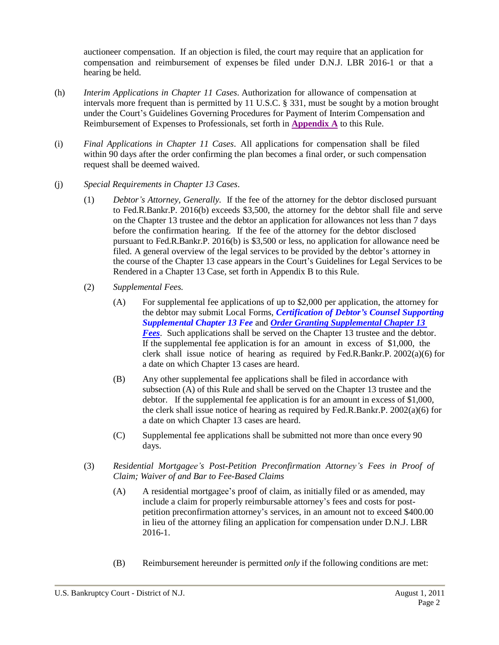auctioneer compensation. If an objection is filed, the court may require that an application for compensation and reimbursement of expenses be filed under D.N.J. LBR 2016-1 or that a hearing be held.

- (h) *Interim Applications in Chapter 11 Cases*. Authorization for allowance of compensation at intervals more frequent than is permitted by 11 U.S.C. § 331, must be sought by a motion brought under the Court's Guidelines Governing Procedures for Payment of Interim Compensation and Reimbursement of Expenses to Professionals, set forth in **[Appendix](#page-3-0) A** to this Rule.
- (i) *Final Applications in Chapter 11 Cases*. All applications for compensation shall be filed within 90 days after the order confirming the plan becomes a final order, or such compensation request shall be deemed waived.
- (j) *Special Requirements in Chapter 13 Cases*.
	- (1) *Debtor's Attorney, Generally.* If the fee of the attorney for the debtor disclosed pursuant to Fed.R.Bankr.P. 2016(b) exceeds \$3,500, the attorney for the debtor shall file and serve on the Chapter 13 trustee and the debtor an application for allowances not less than 7 days before the confirmation hearing. If the fee of the attorney for the debtor disclosed pursuant to Fed.R.Bankr.P. 2016(b) is \$3,500 or less, no application for allowance need be filed. A general overview of the legal services to be provided by the debtor's attorney in the course of the Chapter 13 case appears in the Court's Guidelines for Legal Services to be Rendered in a Chapter 13 Case, set forth in Appendix B to this Rule.
	- (2) *Supplemental Fees.*
		- (A) For supplemental fee applications of up to \$2,000 per application, the attorney for the debtor may submit Local Forms, *Certification of Debtor's Counsel Supporting Supplemental Chapter 13 Fee* and *Order Granting [Supplemental](http://www.njb.uscourts.gov/sites/default/files/forms/Order%20Granting%20Supplemental%20Chapter%2013%20Fees.pdf) Chapter 13 [Fees](http://www.njb.uscourts.gov/sites/default/files/forms/Order%20Granting%20Supplemental%20Chapter%2013%20Fees.pdf)*. Such applications shall be served on the Chapter 13 trustee and the debtor. If the supplemental fee application is for an amount in excess of \$1,000, the clerk shall issue notice of hearing as required by Fed.R.Bankr.P. 2002(a)(6) for a date on which Chapter 13 cases are heard.
		- (B) Any other supplemental fee applications shall be filed in accordance with subsection (A) of this Rule and shall be served on the Chapter 13 trustee and the debtor. If the supplemental fee application is for an amount in excess of \$1,000, the clerk shall issue notice of hearing as required by Fed.R.Bankr.P. 2002(a)(6) for a date on which Chapter 13 cases are heard.
		- (C) Supplemental fee applications shall be submitted not more than once every 90 days.
	- (3) *Residential Mortgagee's Post-Petition Preconfirmation Attorney's Fees in Proof of Claim; Waiver of and Bar to Fee-Based Claims*
		- (A) A residential mortgagee's proof of claim, as initially filed or as amended, may include a claim for properly reimbursable attorney's fees and costs for postpetition preconfirmation attorney's services, in an amount not to exceed \$400.00 in lieu of the attorney filing an application for compensation under D.N.J. LBR 2016-1.
		- (B) Reimbursement hereunder is permitted *only* if the following conditions are met: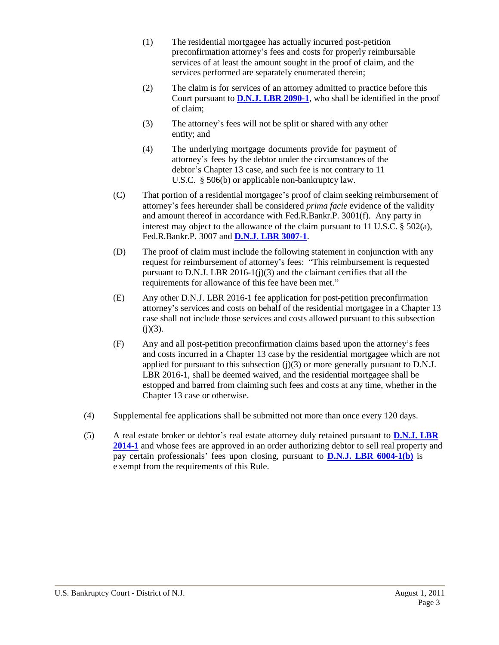- (1) The residential mortgagee has actually incurred post-petition preconfirmation attorney's fees and costs for properly reimbursable services of at least the amount sought in the proof of claim, and the services performed are separately enumerated therein;
- (2) The claim is for services of an attorney admitted to practice before this Court pursuant to **D.N.J. LBR [2090-1](http://www.njb.uscourts.gov/sites/default/files/local_rules/D.N.J._LBR_2090-1__Attorneys-Admission_to_Practice.pdf)**, who shall be identified in the proof of claim;
- (3) The attorney's fees will not be split or shared with any other entity; and
- (4) The underlying mortgage documents provide for payment of attorney's fees by the debtor under the circumstances of the debtor's Chapter 13 case, and such fee is not contrary to 11 U.S.C. § 506(b) or applicable non-bankruptcy law.
- (C) That portion of a residential mortgagee's proof of claim seeking reimbursement of attorney's fees hereunder shall be considered *prima facie* evidence of the validity and amount thereof in accordance with Fed.R.Bankr.P. 3001(f). Any party in interest may object to the allowance of the claim pursuant to 11 U.S.C.  $\S$  502(a), Fed.R.Bankr.P. 3007 and **D.N.J. LBR [3007-1](http://www.njb.uscourts.gov/sites/default/files/local_rules/D.N.J._LBR_3007-1__Claims-Objections.pdf)**.
- (D) The proof of claim must include the following statement in conjunction with any request for reimbursement of attorney's fees: "This reimbursement is requested pursuant to D.N.J. LBR 2016-1( $j(3)$ ) and the claimant certifies that all the requirements for allowance of this fee have been met."
- (E) Any other D.N.J. LBR 2016-1 fee application for post-petition preconfirmation attorney's services and costs on behalf of the residential mortgagee in a Chapter 13 case shall not include those services and costs allowed pursuant to this subsection  $(i)(3)$ .
- (F) Any and all post-petition preconfirmation claims based upon the attorney's fees and costs incurred in a Chapter 13 case by the residential mortgagee which are not applied for pursuant to this subsection  $(j)(3)$  or more generally pursuant to D.N.J. LBR 2016-1, shall be deemed waived, and the residential mortgagee shall be estopped and barred from claiming such fees and costs at any time, whether in the Chapter 13 case or otherwise.
- (4) Supplemental fee applications shall be submitted not more than once every 120 days.
- (5) A real estate broker or debtor's real estate attorney duly retained pursuant to **[D.N.J.](http://www.njb.uscourts.gov/sites/default/files/local_rules/D.N.J._LBR_2014-1__Employment_of_Professionals.pdf) LBR [2014-1](http://www.njb.uscourts.gov/sites/default/files/local_rules/D.N.J._LBR_2014-1__Employment_of_Professionals.pdf)** and whose fees are approved in an order authorizing debtor to sell real property and pay certain professionals' fees upon closing, pursuant to **D.N.J. LBR [6004-1\(b\)](http://www.njb.uscourts.gov/sites/default/files/local_rules/D.N.J._LBR_6004-1__Sale_of_Estate_Property_0.pdf)** is e xempt from the requirements of this Rule.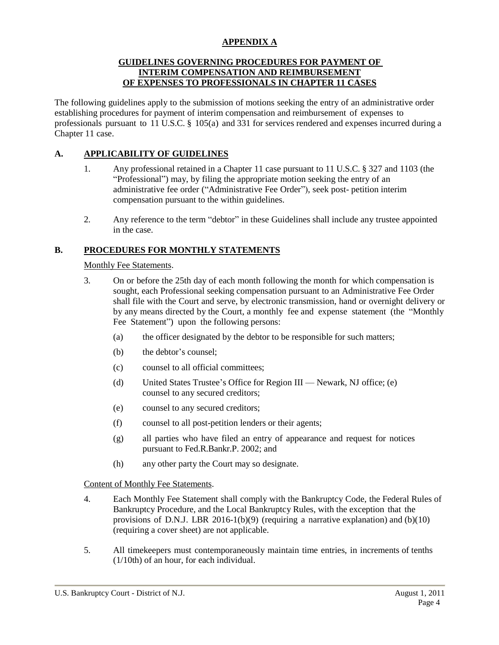# **APPENDIX A**

### **GUIDELINES GOVERNING PROCEDURES FOR PAYMENT OF INTERIM COMPENSATION AND REIMBURSEMENT OF EXPENSES TO PROFESSIONALS IN CHAPTER 11 CASES**

<span id="page-3-0"></span>The following guidelines apply to the submission of motions seeking the entry of an administrative order establishing procedures for payment of interim compensation and reimbursement of expenses to professionals pursuant to 11 U.S.C.  $\S$  105(a) and 331 for services rendered and expenses incurred during a Chapter 11 case.

# **A. APPLICABILITY OF GUIDELINES**

- 1. Any professional retained in a Chapter 11 case pursuant to 11 U.S.C. § 327 and 1103 (the "Professional") may, by filing the appropriate motion seeking the entry of an administrative fee order ("Administrative Fee Order"), seek post- petition interim compensation pursuant to the within guidelines.
- 2. Any reference to the term "debtor" in these Guidelines shall include any trustee appointed in the case.

# **B. PROCEDURES FOR MONTHLY STATEMENTS**

Monthly Fee Statements.

- 3. On or before the 25th day of each month following the month for which compensation is sought, each Professional seeking compensation pursuant to an Administrative Fee Order shall file with the Court and serve, by electronic transmission, hand or overnight delivery or by any means directed by the Court, a monthly fee and expense statement (the "Monthly Fee Statement") upon the following persons:
	- (a) the officer designated by the debtor to be responsible for such matters;
	- (b) the debtor's counsel;
	- (c) counsel to all official committees;
	- (d) United States Trustee's Office for Region III Newark, NJ office; (e) counsel to any secured creditors;
	- (e) counsel to any secured creditors;
	- (f) counsel to all post-petition lenders or their agents;
	- (g) all parties who have filed an entry of appearance and request for notices pursuant to Fed.R.Bankr.P. 2002; and
	- (h) any other party the Court may so designate.

#### Content of Monthly Fee Statements.

- 4. Each Monthly Fee Statement shall comply with the Bankruptcy Code, the Federal Rules of Bankruptcy Procedure, and the Local Bankruptcy Rules, with the exception that the provisions of D.N.J. LBR 2016-1(b)(9) (requiring a narrative explanation) and  $(b)(10)$ (requiring a cover sheet) are not applicable.
- 5. All timekeepers must contemporaneously maintain time entries, in increments of tenths (1/10th) of an hour, for each individual.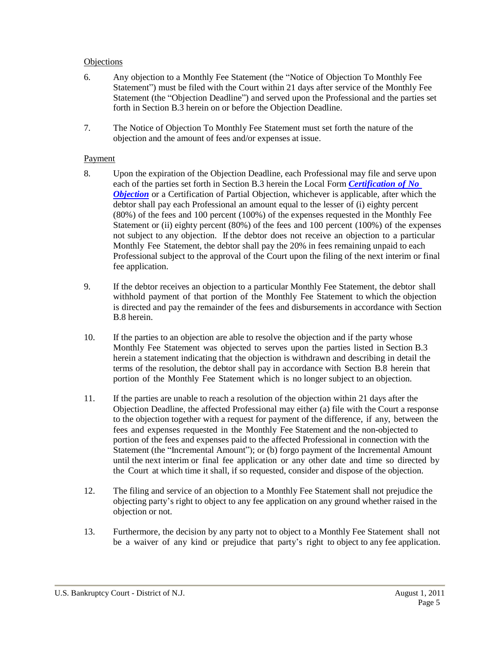### **Objections**

- 6. Any objection to a Monthly Fee Statement (the "Notice of Objection To Monthly Fee Statement") must be filed with the Court within 21 days after service of the Monthly Fee Statement (the "Objection Deadline") and served upon the Professional and the parties set forth in Section B.3 herein on or before the Objection Deadline.
- 7. The Notice of Objection To Monthly Fee Statement must set forth the nature of the objection and the amount of fees and/or expenses at issue.

#### Payment

- 8. Upon the expiration of the Objection Deadline, each Professional may file and serve upon each of the parties set forth in Section B.3 herein the Local Form *[Certification](http://www.njb.uscourts.gov/sites/default/files/forms/Certification_of_No_Objection-chapter11.pdf) of No [Objection](http://www.njb.uscourts.gov/sites/default/files/forms/Certification_of_No_Objection-chapter11.pdf)* or a Certification of Partial Objection, whichever is applicable, after which the debtor shall pay each Professional an amount equal to the lesser of (i) eighty percent (80%) of the fees and 100 percent (100%) of the expenses requested in the Monthly Fee Statement or (ii) eighty percent (80%) of the fees and 100 percent (100%) of the expenses not subject to any objection. If the debtor does not receive an objection to a particular Monthly Fee Statement, the debtor shall pay the 20% in fees remaining unpaid to each Professional subject to the approval of the Court upon the filing of the next interim or final fee application.
- 9. If the debtor receives an objection to a particular Monthly Fee Statement, the debtor shall withhold payment of that portion of the Monthly Fee Statement to which the objection is directed and pay the remainder of the fees and disbursements in accordance with Section B.8 herein.
- 10. If the parties to an objection are able to resolve the objection and if the party whose Monthly Fee Statement was objected to serves upon the parties listed in Section B.3 herein a statement indicating that the objection is withdrawn and describing in detail the terms of the resolution, the debtor shall pay in accordance with Section B.8 herein that portion of the Monthly Fee Statement which is no longer subject to an objection.
- 11. If the parties are unable to reach a resolution of the objection within 21 days after the Objection Deadline, the affected Professional may either (a) file with the Court a response to the objection together with a request for payment of the difference, if any, between the fees and expenses requested in the Monthly Fee Statement and the non-objected to portion of the fees and expenses paid to the affected Professional in connection with the Statement (the "Incremental Amount"); or (b) forgo payment of the Incremental Amount until the next interim or final fee application or any other date and time so directed by the Court at which time it shall, if so requested, consider and dispose of the objection.
- 12. The filing and service of an objection to a Monthly Fee Statement shall not prejudice the objecting party's right to object to any fee application on any ground whether raised in the objection or not.
- 13. Furthermore, the decision by any party not to object to a Monthly Fee Statement shall not be a waiver of any kind or prejudice that party's right to object to any fee application.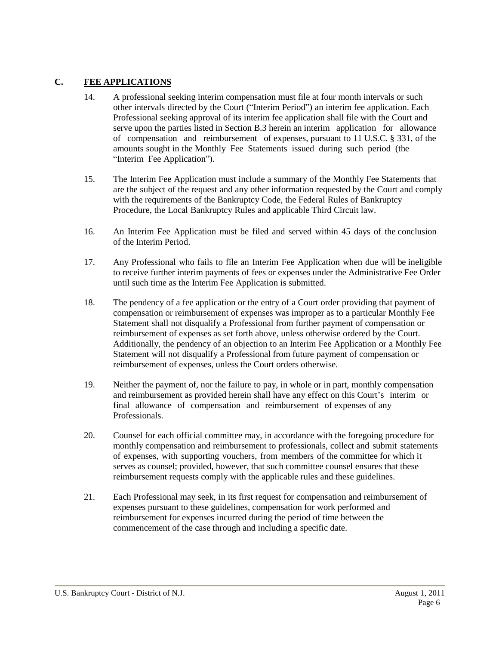# **C. FEE APPLICATIONS**

- 14. A professional seeking interim compensation must file at four month intervals or such other intervals directed by the Court ("Interim Period") an interim fee application. Each Professional seeking approval of its interim fee application shall file with the Court and serve upon the parties listed in Section B.3 herein an interim application for allowance of compensation and reimbursement of expenses, pursuant to 11 U.S.C. § 331, of the amounts sought in the Monthly Fee Statements issued during such period (the "Interim Fee Application").
- 15. The Interim Fee Application must include a summary of the Monthly Fee Statements that are the subject of the request and any other information requested by the Court and comply with the requirements of the Bankruptcy Code, the Federal Rules of Bankruptcy Procedure, the Local Bankruptcy Rules and applicable Third Circuit law.
- 16. An Interim Fee Application must be filed and served within 45 days of the conclusion of the Interim Period.
- 17. Any Professional who fails to file an Interim Fee Application when due will be ineligible to receive further interim payments of fees or expenses under the Administrative Fee Order until such time as the Interim Fee Application is submitted.
- 18. The pendency of a fee application or the entry of a Court order providing that payment of compensation or reimbursement of expenses was improper as to a particular Monthly Fee Statement shall not disqualify a Professional from further payment of compensation or reimbursement of expenses as set forth above, unless otherwise ordered by the Court. Additionally, the pendency of an objection to an Interim Fee Application or a Monthly Fee Statement will not disqualify a Professional from future payment of compensation or reimbursement of expenses, unless the Court orders otherwise.
- 19. Neither the payment of, nor the failure to pay, in whole or in part, monthly compensation and reimbursement as provided herein shall have any effect on this Court's interim or final allowance of compensation and reimbursement of expenses of any Professionals.
- 20. Counsel for each official committee may, in accordance with the foregoing procedure for monthly compensation and reimbursement to professionals, collect and submit statements of expenses, with supporting vouchers, from members of the committee for which it serves as counsel; provided, however, that such committee counsel ensures that these reimbursement requests comply with the applicable rules and these guidelines.
- 21. Each Professional may seek, in its first request for compensation and reimbursement of expenses pursuant to these guidelines, compensation for work performed and reimbursement for expenses incurred during the period of time between the commencement of the case through and including a specific date.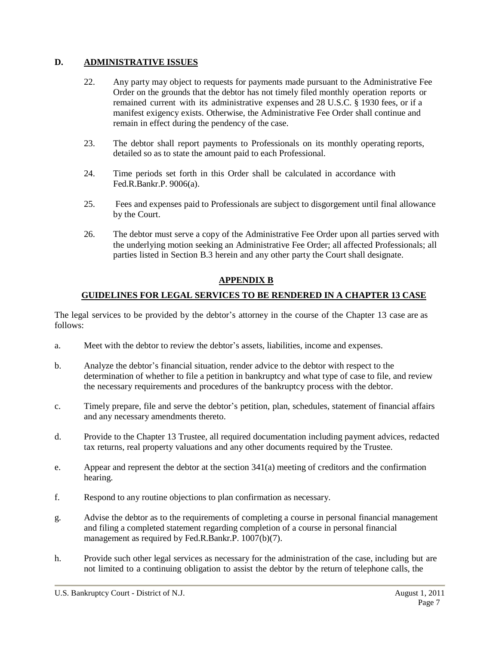# **D. ADMINISTRATIVE ISSUES**

- 22. Any party may object to requests for payments made pursuant to the Administrative Fee Order on the grounds that the debtor has not timely filed monthly operation reports or remained current with its administrative expenses and 28 U.S.C. § 1930 fees, or if a manifest exigency exists. Otherwise, the Administrative Fee Order shall continue and remain in effect during the pendency of the case.
- 23. The debtor shall report payments to Professionals on its monthly operating reports, detailed so as to state the amount paid to each Professional.
- 24. Time periods set forth in this Order shall be calculated in accordance with Fed.R.Bankr.P. 9006(a).
- 25. Fees and expenses paid to Professionals are subject to disgorgement until final allowance by the Court.
- 26. The debtor must serve a copy of the Administrative Fee Order upon all parties served with the underlying motion seeking an Administrative Fee Order; all affected Professionals; all parties listed in Section B.3 herein and any other party the Court shall designate.

### **APPENDIX B**

# **GUIDELINES FOR LEGAL SERVICES TO BE RENDERED IN A CHAPTER 13 CASE**

The legal services to be provided by the debtor's attorney in the course of the Chapter 13 case are as follows:

- a. Meet with the debtor to review the debtor's assets, liabilities, income and expenses.
- b. Analyze the debtor's financial situation, render advice to the debtor with respect to the determination of whether to file a petition in bankruptcy and what type of case to file, and review the necessary requirements and procedures of the bankruptcy process with the debtor.
- c. Timely prepare, file and serve the debtor's petition, plan, schedules, statement of financial affairs and any necessary amendments thereto.
- d. Provide to the Chapter 13 Trustee, all required documentation including payment advices, redacted tax returns, real property valuations and any other documents required by the Trustee.
- e. Appear and represent the debtor at the section 341(a) meeting of creditors and the confirmation hearing.
- f. Respond to any routine objections to plan confirmation as necessary.
- g. Advise the debtor as to the requirements of completing a course in personal financial management and filing a completed statement regarding completion of a course in personal financial management as required by Fed.R.Bankr.P. 1007(b)(7).
- h. Provide such other legal services as necessary for the administration of the case, including but are not limited to a continuing obligation to assist the debtor by the return of telephone calls, the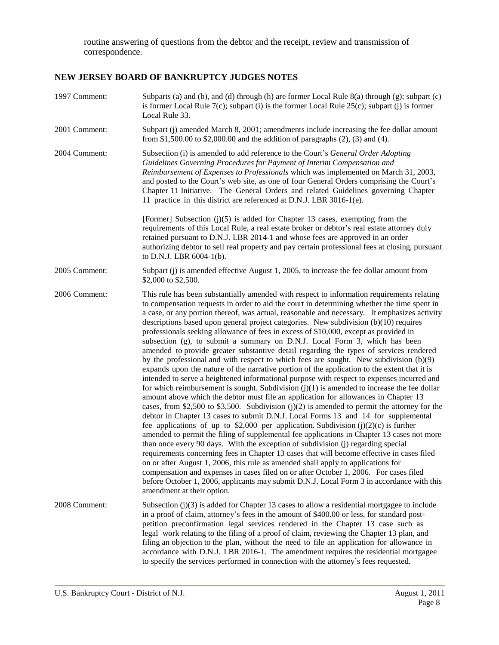routine answering of questions from the debtor and the receipt, review and transmission of correspondence.

# **NEW JERSEY BOARD OF BANKRUPTCY JUDGES NOTES**

| 1997 Comment: | Subparts (a) and (b), and (d) through (h) are former Local Rule 8(a) through (g); subpart (c)<br>is former Local Rule $7(c)$ ; subpart (i) is the former Local Rule $25(c)$ ; subpart (j) is former<br>Local Rule 33.                                                                                                                                                                                                                                                                                                                                                                                                                                                                                                                                                                                                                                                                                                                                                                                                                                                                                                                                                                                                                                                                                                                                                                                                                                                                                                                                                                                                                                                                                                                                                                                                                                                                                                                                                                                       |
|---------------|-------------------------------------------------------------------------------------------------------------------------------------------------------------------------------------------------------------------------------------------------------------------------------------------------------------------------------------------------------------------------------------------------------------------------------------------------------------------------------------------------------------------------------------------------------------------------------------------------------------------------------------------------------------------------------------------------------------------------------------------------------------------------------------------------------------------------------------------------------------------------------------------------------------------------------------------------------------------------------------------------------------------------------------------------------------------------------------------------------------------------------------------------------------------------------------------------------------------------------------------------------------------------------------------------------------------------------------------------------------------------------------------------------------------------------------------------------------------------------------------------------------------------------------------------------------------------------------------------------------------------------------------------------------------------------------------------------------------------------------------------------------------------------------------------------------------------------------------------------------------------------------------------------------------------------------------------------------------------------------------------------------|
| 2001 Comment: | Subpart (j) amended March 8, 2001; amendments include increasing the fee dollar amount<br>from \$1,500.00 to \$2,000.00 and the addition of paragraphs $(2)$ , $(3)$ and $(4)$ .                                                                                                                                                                                                                                                                                                                                                                                                                                                                                                                                                                                                                                                                                                                                                                                                                                                                                                                                                                                                                                                                                                                                                                                                                                                                                                                                                                                                                                                                                                                                                                                                                                                                                                                                                                                                                            |
| 2004 Comment: | Subsection (i) is amended to add reference to the Court's General Order Adopting<br>Guidelines Governing Procedures for Payment of Interim Compensation and<br>Reimbursement of Expenses to Professionals which was implemented on March 31, 2003,<br>and posted to the Court's web site, as one of four General Orders comprising the Court's<br>Chapter 11 Initiative. The General Orders and related Guidelines governing Chapter<br>11 practice in this district are referenced at D.N.J. LBR 3016-1(e).                                                                                                                                                                                                                                                                                                                                                                                                                                                                                                                                                                                                                                                                                                                                                                                                                                                                                                                                                                                                                                                                                                                                                                                                                                                                                                                                                                                                                                                                                                |
|               | [Former] Subsection $(j)(5)$ is added for Chapter 13 cases, exempting from the<br>requirements of this Local Rule, a real estate broker or debtor's real estate attorney duly<br>retained pursuant to D.N.J. LBR 2014-1 and whose fees are approved in an order<br>authorizing debtor to sell real property and pay certain professional fees at closing, pursuant<br>to D.N.J. LBR $6004-1(b)$ .                                                                                                                                                                                                                                                                                                                                                                                                                                                                                                                                                                                                                                                                                                                                                                                                                                                                                                                                                                                                                                                                                                                                                                                                                                                                                                                                                                                                                                                                                                                                                                                                           |
| 2005 Comment: | Subpart (j) is amended effective August 1, 2005, to increase the fee dollar amount from<br>\$2,000 to \$2,500.                                                                                                                                                                                                                                                                                                                                                                                                                                                                                                                                                                                                                                                                                                                                                                                                                                                                                                                                                                                                                                                                                                                                                                                                                                                                                                                                                                                                                                                                                                                                                                                                                                                                                                                                                                                                                                                                                              |
| 2006 Comment: | This rule has been substantially amended with respect to information requirements relating<br>to compensation requests in order to aid the court in determining whether the time spent in<br>a case, or any portion thereof, was actual, reasonable and necessary. It emphasizes activity<br>descriptions based upon general project categories. New subdivision (b)(10) requires<br>professionals seeking allowance of fees in excess of \$10,000, except as provided in<br>subsection (g), to submit a summary on D.N.J. Local Form 3, which has been<br>amended to provide greater substantive detail regarding the types of services rendered<br>by the professional and with respect to which fees are sought. New subdivision $(b)(9)$<br>expands upon the nature of the narrative portion of the application to the extent that it is<br>intended to serve a heightened informational purpose with respect to expenses incurred and<br>for which reimbursement is sought. Subdivision $(j)(1)$ is amended to increase the fee dollar<br>amount above which the debtor must file an application for allowances in Chapter 13<br>cases, from \$2,500 to \$3,500. Subdivision $(j)(2)$ is amended to permit the attorney for the<br>debtor in Chapter 13 cases to submit D.N.J. Local Forms 13 and 14 for supplemental<br>fee applications of up to \$2,000 per application. Subdivision $(j)(2)(c)$ is further<br>amended to permit the filing of supplemental fee applications in Chapter 13 cases not more<br>than once every 90 days. With the exception of subdivision (j) regarding special<br>requirements concerning fees in Chapter 13 cases that will become effective in cases filed<br>on or after August 1, 2006, this rule as amended shall apply to applications for<br>compensation and expenses in cases filed on or after October 1, 2006. For cases filed<br>before October 1, 2006, applicants may submit D.N.J. Local Form 3 in accordance with this<br>amendment at their option. |
| 2008 Comment: | Subsection (j)(3) is added for Chapter 13 cases to allow a residential mortgagee to include<br>in a proof of claim, attorney's fees in the amount of \$400.00 or less, for standard post-<br>petition preconfirmation legal services rendered in the Chapter 13 case such as<br>legal work relating to the filing of a proof of claim, reviewing the Chapter 13 plan, and<br>filing an objection to the plan, without the need to file an application for allowance in<br>accordance with D.N.J. LBR 2016-1. The amendment requires the residential mortgagee<br>to specify the services performed in connection with the attorney's fees requested.                                                                                                                                                                                                                                                                                                                                                                                                                                                                                                                                                                                                                                                                                                                                                                                                                                                                                                                                                                                                                                                                                                                                                                                                                                                                                                                                                        |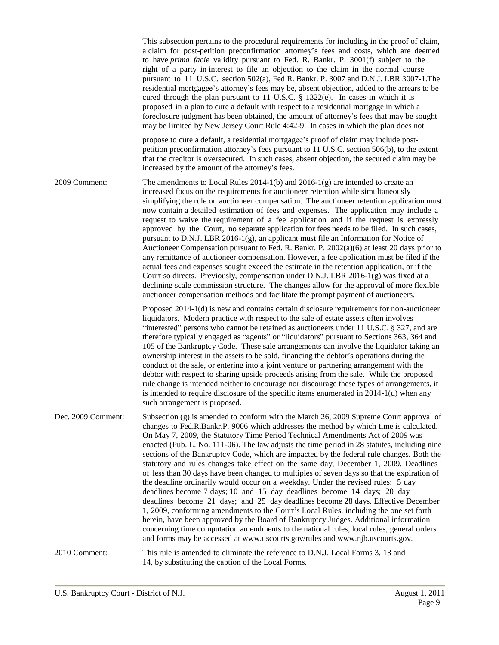|                    | This subsection pertains to the procedural requirements for including in the proof of claim,<br>a claim for post-petition preconfirmation attorney's fees and costs, which are deemed<br>to have <i>prima facie</i> validity pursuant to Fed. R. Bankr. P. 3001(f) subject to the<br>right of a party in interest to file an objection to the claim in the normal course<br>pursuant to 11 U.S.C. section 502(a), Fed R. Bankr. P. 3007 and D.N.J. LBR 3007-1. The<br>residential mortgagee's attorney's fees may be, absent objection, added to the arrears to be<br>cured through the plan pursuant to 11 U.S.C. $\S$ 1322(e). In cases in which it is<br>proposed in a plan to cure a default with respect to a residential mortgage in which a<br>foreclosure judgment has been obtained, the amount of attorney's fees that may be sought<br>may be limited by New Jersey Court Rule 4:42-9. In cases in which the plan does not                                                                                                                                                                                                                                                                                                                                        |
|--------------------|------------------------------------------------------------------------------------------------------------------------------------------------------------------------------------------------------------------------------------------------------------------------------------------------------------------------------------------------------------------------------------------------------------------------------------------------------------------------------------------------------------------------------------------------------------------------------------------------------------------------------------------------------------------------------------------------------------------------------------------------------------------------------------------------------------------------------------------------------------------------------------------------------------------------------------------------------------------------------------------------------------------------------------------------------------------------------------------------------------------------------------------------------------------------------------------------------------------------------------------------------------------------------|
|                    | propose to cure a default, a residential mortgagee's proof of claim may include post-<br>petition preconfirmation attorney's fees pursuant to 11 U.S.C. section 506(b), to the extent<br>that the creditor is oversecured. In such cases, absent objection, the secured claim may be<br>increased by the amount of the attorney's fees.                                                                                                                                                                                                                                                                                                                                                                                                                                                                                                                                                                                                                                                                                                                                                                                                                                                                                                                                      |
| 2009 Comment:      | The amendments to Local Rules $2014-1(b)$ and $2016-1(g)$ are intended to create an<br>increased focus on the requirements for auctioneer retention while simultaneously<br>simplifying the rule on auctioneer compensation. The auctioneer retention application must<br>now contain a detailed estimation of fees and expenses. The application may include a<br>request to waive the requirement of a fee application and if the request is expressly<br>approved by the Court, no separate application for fees needs to be filed. In such cases,<br>pursuant to D.N.J. LBR 2016-1(g), an applicant must file an Information for Notice of<br>Auctioneer Compensation pursuant to Fed. R. Bankr. P. 2002(a)(6) at least 20 days prior to<br>any remittance of auctioneer compensation. However, a fee application must be filed if the<br>actual fees and expenses sought exceed the estimate in the retention application, or if the<br>Court so directs. Previously, compensation under D.N.J. LBR 2016-1(g) was fixed at a<br>declining scale commission structure. The changes allow for the approval of more flexible<br>auctioneer compensation methods and facilitate the prompt payment of auctioneers.                                                          |
|                    | Proposed 2014-1(d) is new and contains certain disclosure requirements for non-auctioneer<br>liquidators. Modern practice with respect to the sale of estate assets often involves<br>"interested" persons who cannot be retained as auctioneers under 11 U.S.C. $\S 327$ , and are<br>therefore typically engaged as "agents" or "liquidators" pursuant to Sections 363, 364 and<br>105 of the Bankruptcy Code. These sale arrangements can involve the liquidator taking an<br>ownership interest in the assets to be sold, financing the debtor's operations during the<br>conduct of the sale, or entering into a joint venture or partnering arrangement with the<br>debtor with respect to sharing upside proceeds arising from the sale. While the proposed<br>rule change is intended neither to encourage nor discourage these types of arrangements, it<br>is intended to require disclosure of the specific items enumerated in $2014-1(d)$ when any<br>such arrangement is proposed.                                                                                                                                                                                                                                                                             |
| Dec. 2009 Comment: | Subsection $(g)$ is amended to conform with the March 26, 2009 Supreme Court approval of<br>changes to Fed.R.Bankr.P. 9006 which addresses the method by which time is calculated.<br>On May 7, 2009, the Statutory Time Period Technical Amendments Act of 2009 was<br>enacted (Pub. L. No. 111-06). The law adjusts the time period in 28 statutes, including nine<br>sections of the Bankruptcy Code, which are impacted by the federal rule changes. Both the<br>statutory and rules changes take effect on the same day, December 1, 2009. Deadlines<br>of less than 30 days have been changed to multiples of seven days so that the expiration of<br>the deadline ordinarily would occur on a weekday. Under the revised rules: 5 day<br>deadlines become 7 days; 10 and 15 day deadlines become 14 days; 20 day<br>deadlines become 21 days; and 25 day deadlines become 28 days. Effective December<br>1, 2009, conforming amendments to the Court's Local Rules, including the one set forth<br>herein, have been approved by the Board of Bankruptcy Judges. Additional information<br>concerning time computation amendments to the national rules, local rules, general orders<br>and forms may be accessed at www.uscourts.gov/rules and www.njb.uscourts.gov. |
| 2010 Comment:      | This rule is amended to eliminate the reference to D.N.J. Local Forms 3, 13 and<br>14, by substituting the caption of the Local Forms.                                                                                                                                                                                                                                                                                                                                                                                                                                                                                                                                                                                                                                                                                                                                                                                                                                                                                                                                                                                                                                                                                                                                       |